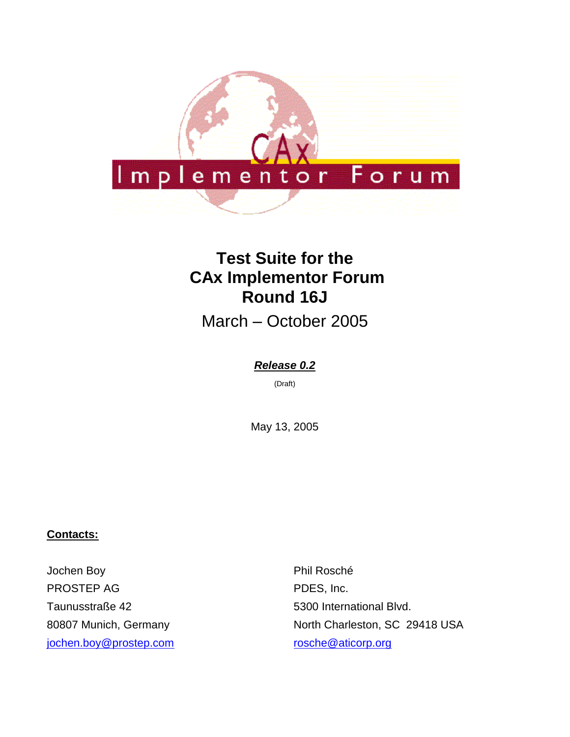

# **Test Suite for the CAx Implementor Forum Round 16J**

March – October 2005

#### *Release 0.2*

(Draft)

May 13, 2005

#### **Contacts:**

Jochen Boy PROSTEP AG Taunusstraße 42 80807 Munich, Germany [jochen.boy@prostep.com](mailto:jochen.boy@prostep.com)

Phil Rosché PDES, Inc. 5300 International Blvd. North Charleston, SC 29418 USA [rosche@aticorp.org](mailto:rosche@aticorp.org)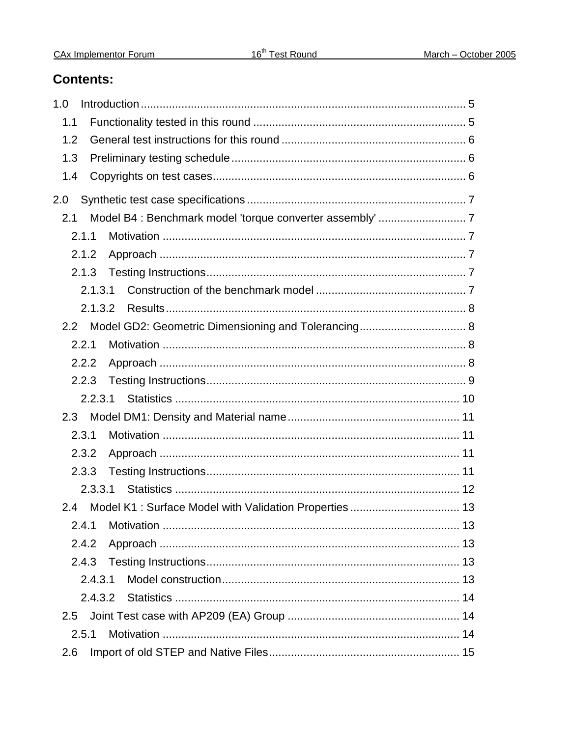### **Contents:**

| 1.0     |
|---------|
| 1.1     |
| 1.2     |
| 1.3     |
| 1.4     |
| 2.0     |
| 2.1     |
| 2.1.1   |
| 2.1.2   |
| 2.1.3   |
| 2.1.3.1 |
| 2.1.3.2 |
| 2.2     |
| 2.2.1   |
| 2.2.2   |
| 2.2.3   |
| 2.2.3.1 |
| 2.3     |
| 2.3.1   |
| 2.3.2   |
| 2.3.3   |
| 2.3.3.1 |
| 2.4     |
| 2.4.1   |
| 2.4.2   |
| 2.4.3   |
| 2.4.3.1 |
| 2.4.3.2 |
| 2.5     |
| 2.5.1   |
| 2.6     |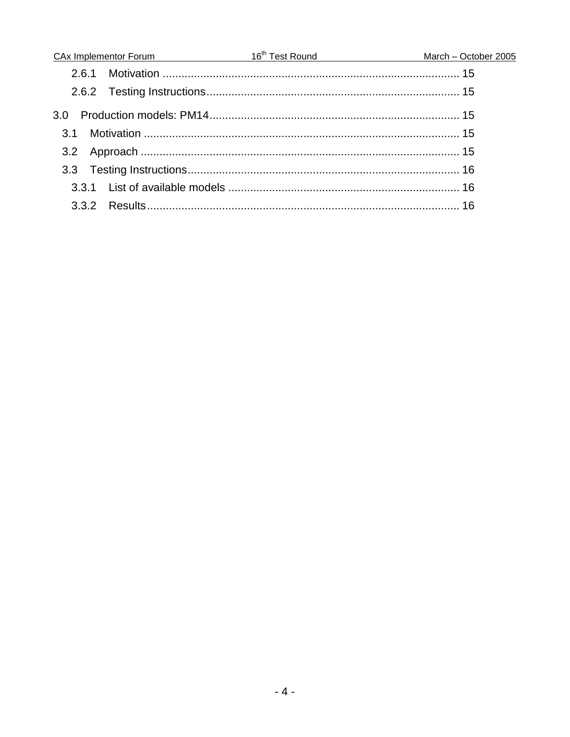|                  | $\frac{CAx}{x}$ Implementor Forum $16^{th}$ Test Round March – October 2005 |  |
|------------------|-----------------------------------------------------------------------------|--|
|                  |                                                                             |  |
|                  |                                                                             |  |
| 3.0 <sub>2</sub> |                                                                             |  |
| $\overline{31}$  |                                                                             |  |
|                  |                                                                             |  |
|                  |                                                                             |  |
|                  |                                                                             |  |
|                  |                                                                             |  |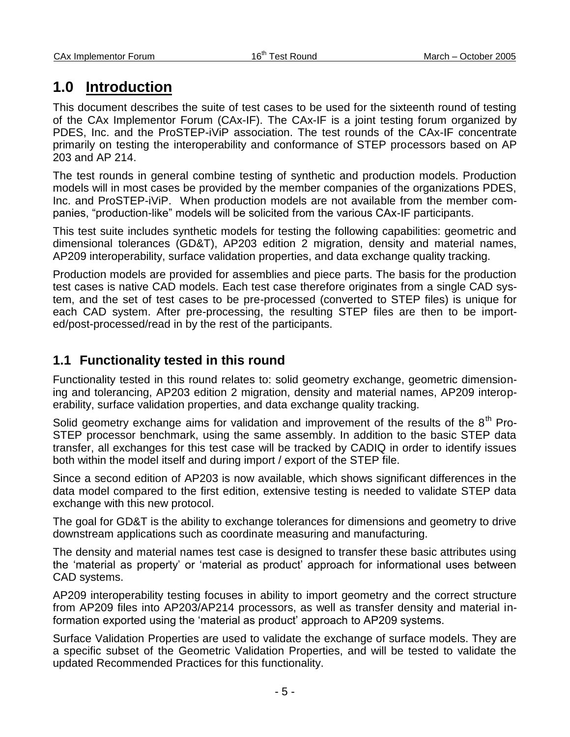## **1.0 Introduction**

This document describes the suite of test cases to be used for the sixteenth round of testing of the CAx Implementor Forum (CAx-IF). The CAx-IF is a joint testing forum organized by PDES, Inc. and the ProSTEP-iViP association. The test rounds of the CAx-IF concentrate primarily on testing the interoperability and conformance of STEP processors based on AP 203 and AP 214.

The test rounds in general combine testing of synthetic and production models. Production models will in most cases be provided by the member companies of the organizations PDES, Inc. and ProSTEP-iViP. When production models are not available from the member companies, "production-like" models will be solicited from the various CAx-IF participants.

This test suite includes synthetic models for testing the following capabilities: geometric and dimensional tolerances (GD&T), AP203 edition 2 migration, density and material names, AP209 interoperability, surface validation properties, and data exchange quality tracking.

Production models are provided for assemblies and piece parts. The basis for the production test cases is native CAD models. Each test case therefore originates from a single CAD system, and the set of test cases to be pre-processed (converted to STEP files) is unique for each CAD system. After pre-processing, the resulting STEP files are then to be imported/post-processed/read in by the rest of the participants.

### **1.1 Functionality tested in this round**

Functionality tested in this round relates to: solid geometry exchange, geometric dimensioning and tolerancing, AP203 edition 2 migration, density and material names, AP209 interoperability, surface validation properties, and data exchange quality tracking.

Solid geometry exchange aims for validation and improvement of the results of the  $8<sup>th</sup>$  Pro-STEP processor benchmark, using the same assembly. In addition to the basic STEP data transfer, all exchanges for this test case will be tracked by CADIQ in order to identify issues both within the model itself and during import / export of the STEP file.

Since a second edition of AP203 is now available, which shows significant differences in the data model compared to the first edition, extensive testing is needed to validate STEP data exchange with this new protocol.

The goal for GD&T is the ability to exchange tolerances for dimensions and geometry to drive downstream applications such as coordinate measuring and manufacturing.

The density and material names test case is designed to transfer these basic attributes using the "material as property" or "material as product" approach for informational uses between CAD systems.

AP209 interoperability testing focuses in ability to import geometry and the correct structure from AP209 files into AP203/AP214 processors, as well as transfer density and material information exported using the "material as product" approach to AP209 systems.

Surface Validation Properties are used to validate the exchange of surface models. They are a specific subset of the Geometric Validation Properties, and will be tested to validate the updated Recommended Practices for this functionality.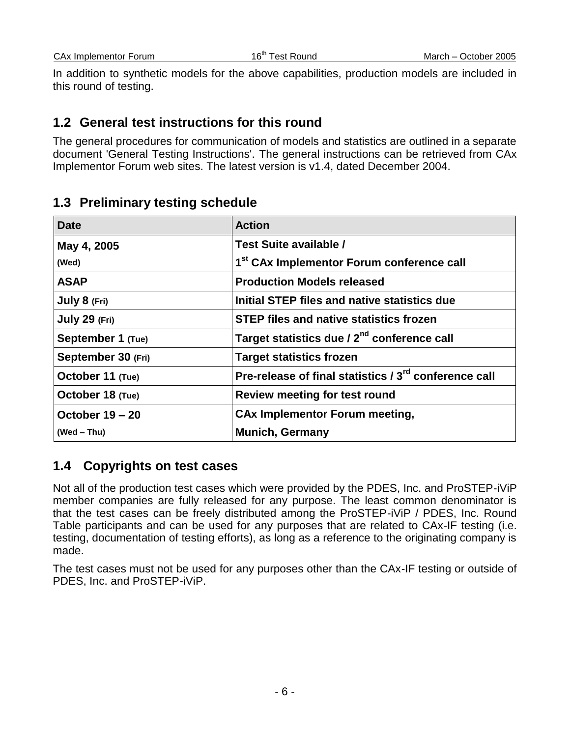CAx Implementor Forum 16<sup>th</sup> Test Round March – October 2005

In addition to synthetic models for the above capabilities, production models are included in this round of testing.

### **1.2 General test instructions for this round**

The general procedures for communication of models and statistics are outlined in a separate document 'General Testing Instructions'. The general instructions can be retrieved from CAx Implementor Forum web sites. The latest version is v1.4, dated December 2004.

### **1.3 Preliminary testing schedule**

| <b>Date</b>        | <b>Action</b>                                                     |
|--------------------|-------------------------------------------------------------------|
| May 4, 2005        | Test Suite available /                                            |
| (Wed)              | 1 <sup>st</sup> CAx Implementor Forum conference call             |
| <b>ASAP</b>        | <b>Production Models released</b>                                 |
| July 8 (Fri)       | Initial STEP files and native statistics due                      |
| July 29 (Fri)      | <b>STEP files and native statistics frozen</b>                    |
| September 1 (Tue)  | Target statistics due / 2 <sup>nd</sup> conference call           |
| September 30 (Fri) | <b>Target statistics frozen</b>                                   |
| October 11 (Tue)   | Pre-release of final statistics / 3 <sup>rd</sup> conference call |
| October 18 (Tue)   | <b>Review meeting for test round</b>                              |
| October 19 – 20    | <b>CAx Implementor Forum meeting,</b>                             |
| (Wed – Thu)        | <b>Munich, Germany</b>                                            |

### **1.4 Copyrights on test cases**

Not all of the production test cases which were provided by the PDES, Inc. and ProSTEP-iViP member companies are fully released for any purpose. The least common denominator is that the test cases can be freely distributed among the ProSTEP-iViP / PDES, Inc. Round Table participants and can be used for any purposes that are related to CAx-IF testing (i.e. testing, documentation of testing efforts), as long as a reference to the originating company is made.

The test cases must not be used for any purposes other than the CAx-IF testing or outside of PDES, Inc. and ProSTEP-iViP.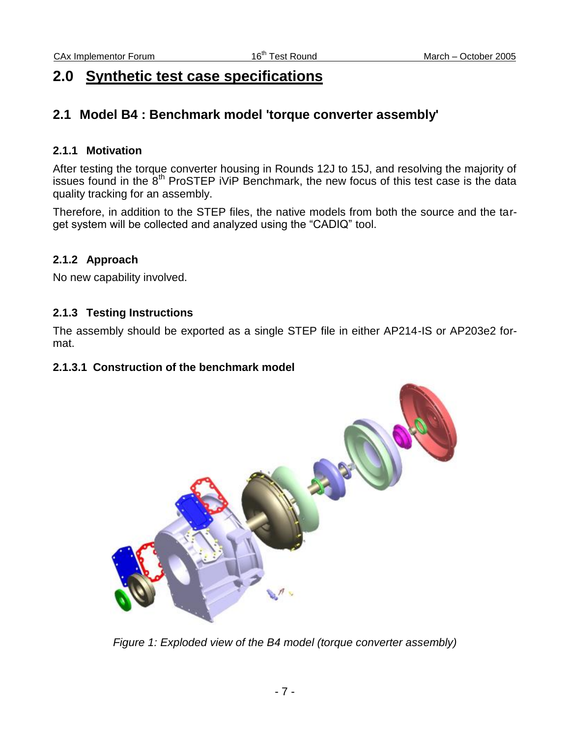## **2.0 Synthetic test case specifications**

### **2.1 Model B4 : Benchmark model 'torque converter assembly'**

#### **2.1.1 Motivation**

After testing the torque converter housing in Rounds 12J to 15J, and resolving the majority of issues found in the 8<sup>th</sup> ProSTEP iViP Benchmark, the new focus of this test case is the data quality tracking for an assembly.

Therefore, in addition to the STEP files, the native models from both the source and the target system will be collected and analyzed using the "CADIQ" tool.

#### **2.1.2 Approach**

No new capability involved.

#### **2.1.3 Testing Instructions**

The assembly should be exported as a single STEP file in either AP214-IS or AP203e2 format.

#### **2.1.3.1 Construction of the benchmark model**



*Figure 1: Exploded view of the B4 model (torque converter assembly)*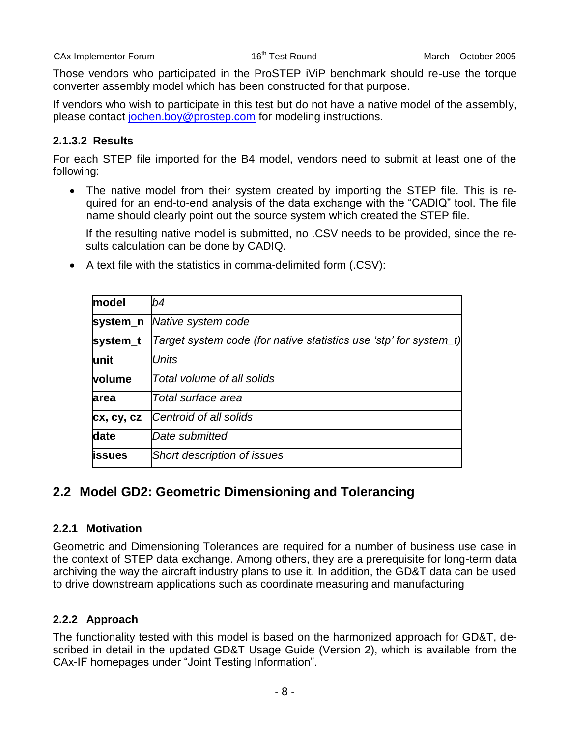| <b>CAx Implementor Forum</b> |  |
|------------------------------|--|
|                              |  |

Those vendors who participated in the ProSTEP iViP benchmark should re-use the torque converter assembly model which has been constructed for that purpose.

If vendors who wish to participate in this test but do not have a native model of the assembly, please contact [jochen.boy@prostep.com](mailto:jochen.boy@prostep.com) for modeling instructions.

#### **2.1.3.2 Results**

For each STEP file imported for the B4 model, vendors need to submit at least one of the following:

 The native model from their system created by importing the STEP file. This is required for an end-to-end analysis of the data exchange with the "CADIQ" tool. The file name should clearly point out the source system which created the STEP file.

If the resulting native model is submitted, no .CSV needs to be provided, since the results calculation can be done by CADIQ.

| model      | b4                                                                |
|------------|-------------------------------------------------------------------|
| system_n   | Native system code                                                |
| system_t   | Target system code (for native statistics use 'stp' for system_t) |
| lunit      | Units                                                             |
| volume     | Total volume of all solids                                        |
| larea      | Total surface area                                                |
| cx, cy, cz | Centroid of all solids                                            |
| date       | Date submitted                                                    |
| lissues    | Short description of issues                                       |

A text file with the statistics in comma-delimited form (.CSV):

## **2.2 Model GD2: Geometric Dimensioning and Tolerancing**

### **2.2.1 Motivation**

Geometric and Dimensioning Tolerances are required for a number of business use case in the context of STEP data exchange. Among others, they are a prerequisite for long-term data archiving the way the aircraft industry plans to use it. In addition, the GD&T data can be used to drive downstream applications such as coordinate measuring and manufacturing

#### **2.2.2 Approach**

The functionality tested with this model is based on the harmonized approach for GD&T, described in detail in the updated GD&T Usage Guide (Version 2), which is available from the CAx-IF homepages under "Joint Testing Information".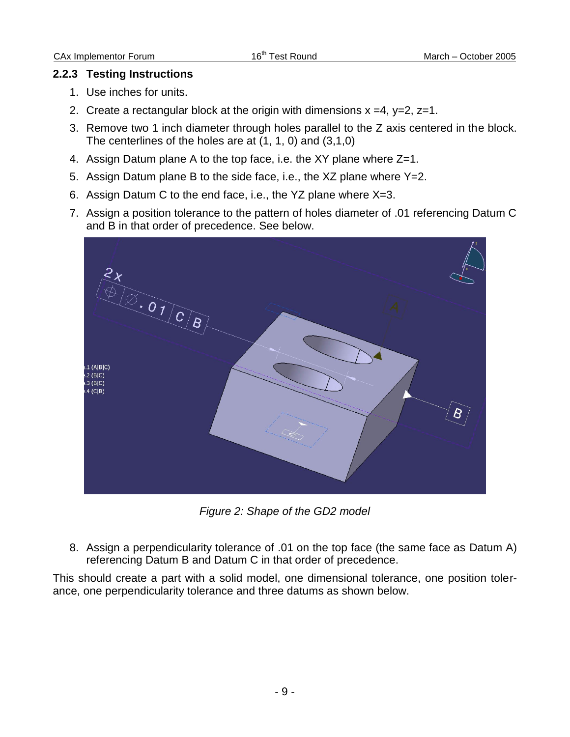#### **2.2.3 Testing Instructions**

- 1. Use inches for units.
- 2. Create a rectangular block at the origin with dimensions  $x = 4$ ,  $y=2$ ,  $z=1$ .
- 3. Remove two 1 inch diameter through holes parallel to the Z axis centered in the block. The centerlines of the holes are at  $(1, 1, 0)$  and  $(3.1.0)$
- 4. Assign Datum plane A to the top face, i.e. the XY plane where Z=1.
- 5. Assign Datum plane B to the side face, i.e., the XZ plane where Y=2.
- 6. Assign Datum C to the end face, i.e., the YZ plane where X=3.
- 7. Assign a position tolerance to the pattern of holes diameter of .01 referencing Datum C and B in that order of precedence. See below.



*Figure 2: Shape of the GD2 model*

8. Assign a perpendicularity tolerance of .01 on the top face (the same face as Datum A) referencing Datum B and Datum C in that order of precedence.

This should create a part with a solid model, one dimensional tolerance, one position tolerance, one perpendicularity tolerance and three datums as shown below.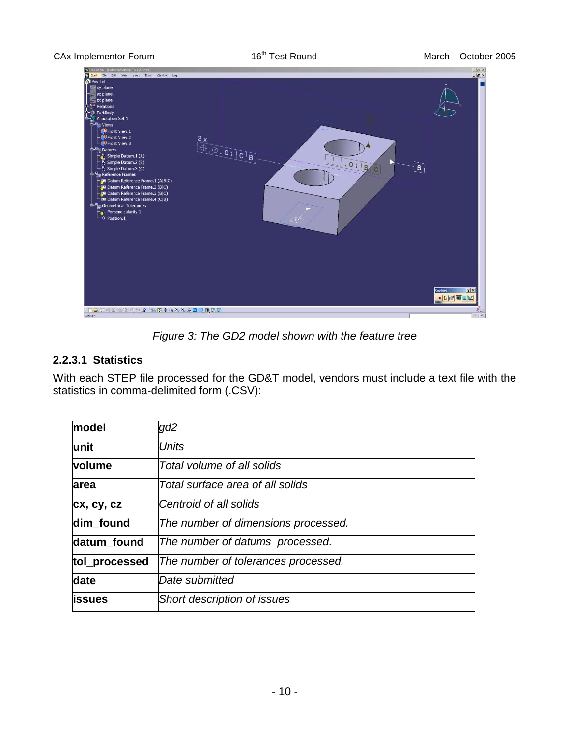

*Figure 3: The GD2 model shown with the feature tree*

### **2.2.3.1 Statistics**

With each STEP file processed for the GD&T model, vendors must include a text file with the statistics in comma-delimited form (.CSV):

| model          | gd2                                 |
|----------------|-------------------------------------|
| lunit          | <b>Units</b>                        |
| volume         | Total volume of all solids          |
| <b>area</b>    | Total surface area of all solids    |
| cx, cy, cz     | Centroid of all solids              |
| dim found      | The number of dimensions processed. |
| datum found    | The number of datums processed.     |
| tol_processed  | The number of tolerances processed. |
| date           | Date submitted                      |
| <b>lissues</b> | Short description of issues         |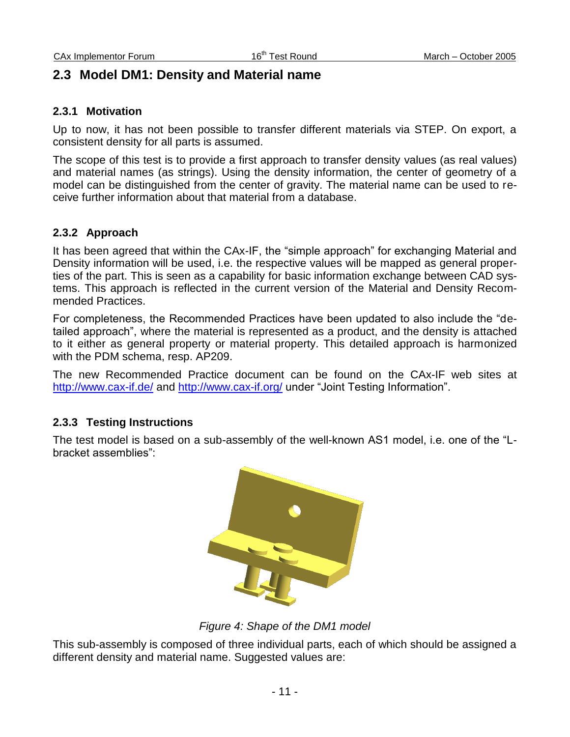### **2.3 Model DM1: Density and Material name**

#### **2.3.1 Motivation**

Up to now, it has not been possible to transfer different materials via STEP. On export, a consistent density for all parts is assumed.

The scope of this test is to provide a first approach to transfer density values (as real values) and material names (as strings). Using the density information, the center of geometry of a model can be distinguished from the center of gravity. The material name can be used to receive further information about that material from a database.

#### **2.3.2 Approach**

It has been agreed that within the CAx-IF, the "simple approach" for exchanging Material and Density information will be used, i.e. the respective values will be mapped as general properties of the part. This is seen as a capability for basic information exchange between CAD systems. This approach is reflected in the current version of the Material and Density Recommended Practices.

For completeness, the Recommended Practices have been updated to also include the "detailed approach", where the material is represented as a product, and the density is attached to it either as general property or material property. This detailed approach is harmonized with the PDM schema, resp. AP209.

The new Recommended Practice document can be found on the CAx-IF web sites at <http://www.cax-if.de/> and<http://www.cax-if.org/> under "Joint Testing Information".

#### **2.3.3 Testing Instructions**

The test model is based on a sub-assembly of the well-known AS1 model, i.e. one of the "Lbracket assemblies":



*Figure 4: Shape of the DM1 model*

This sub-assembly is composed of three individual parts, each of which should be assigned a different density and material name. Suggested values are: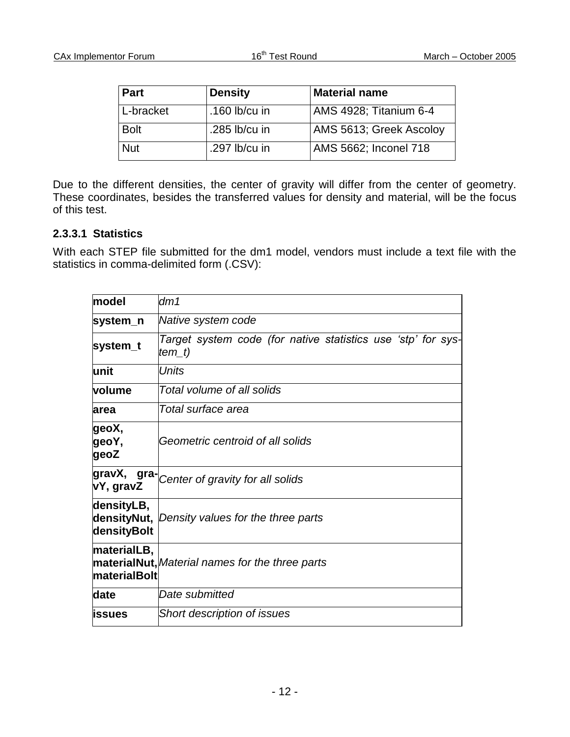| <b>Part</b> | <b>Density</b>  | <b>Material name</b>    |
|-------------|-----------------|-------------------------|
| l L-bracket | .160 $lb/cu$ in | AMS 4928; Titanium 6-4  |
| <b>Bolt</b> | .285 lb/cu in   | AMS 5613; Greek Ascoloy |
| <b>Nut</b>  | .297 lb/cu in   | AMS 5662; Inconel 718   |

Due to the different densities, the center of gravity will differ from the center of geometry. These coordinates, besides the transferred values for density and material, will be the focus of this test.

#### **2.3.3.1 Statistics**

With each STEP file submitted for the dm1 model, vendors must include a text file with the statistics in comma-delimited form (.CSV):

| model                       | dm1                                                                    |
|-----------------------------|------------------------------------------------------------------------|
| system_n                    | Native system code                                                     |
| system_t                    | Target system code (for native statistics use 'stp' for sys-<br>tem_t) |
| lunit                       | Units                                                                  |
| <b>volume</b>               | Total volume of all solids                                             |
| larea                       | Total surface area                                                     |
| geoX,<br>geoY,<br>geoZ      | Geometric centroid of all solids                                       |
| gravX,<br>vY, gravZ         | gra-Center of gravity for all solids                                   |
| densityLB,<br>densityBolt   | densityNut, Density values for the three parts                         |
| materialLB,<br>materialBolt | <b>materialNut,</b> Material names for the three parts                 |
| date                        | Date submitted                                                         |
| <b>lissues</b>              | Short description of issues                                            |
|                             |                                                                        |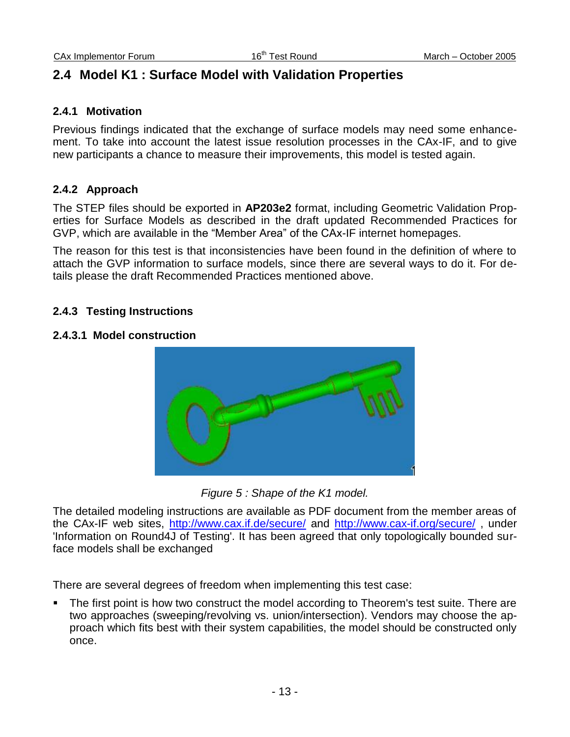## **2.4 Model K1 : Surface Model with Validation Properties**

#### **2.4.1 Motivation**

Previous findings indicated that the exchange of surface models may need some enhancement. To take into account the latest issue resolution processes in the CAx-IF, and to give new participants a chance to measure their improvements, this model is tested again.

#### **2.4.2 Approach**

The STEP files should be exported in **AP203e2** format, including Geometric Validation Properties for Surface Models as described in the draft updated Recommended Practices for GVP, which are available in the "Member Area" of the CAx-IF internet homepages.

The reason for this test is that inconsistencies have been found in the definition of where to attach the GVP information to surface models, since there are several ways to do it. For details please the draft Recommended Practices mentioned above.

#### **2.4.3 Testing Instructions**

#### **2.4.3.1 Model construction**



*Figure 5 : Shape of the K1 model.*

The detailed modeling instructions are available as PDF document from the member areas of the CAx-IF web sites, <http://www.cax.if.de/secure/> and<http://www.cax-if.org/secure/>, under 'Information on Round4J of Testing'. It has been agreed that only topologically bounded surface models shall be exchanged

There are several degrees of freedom when implementing this test case:

 The first point is how two construct the model according to Theorem's test suite. There are two approaches (sweeping/revolving vs. union/intersection). Vendors may choose the approach which fits best with their system capabilities, the model should be constructed only once.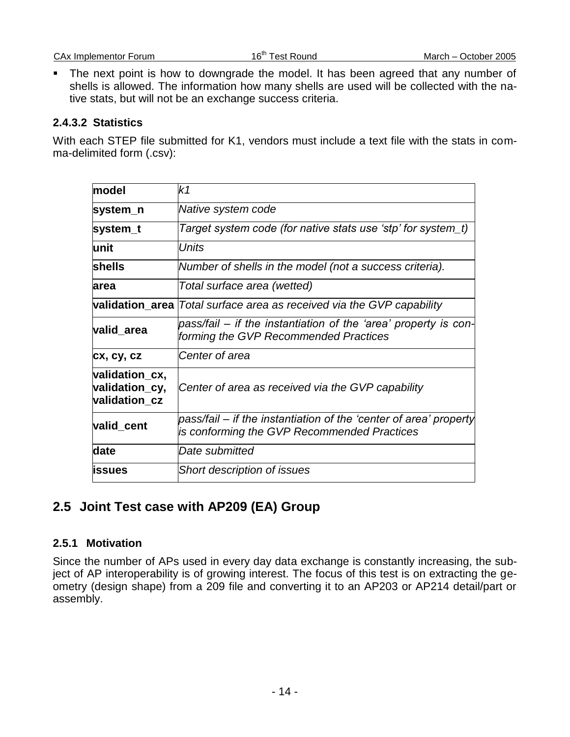The next point is how to downgrade the model. It has been agreed that any number of shells is allowed. The information how many shells are used will be collected with the native stats, but will not be an exchange success criteria.

#### **2.4.3.2 Statistics**

With each STEP file submitted for K1, vendors must include a text file with the stats in comma-delimited form (.csv):

| model                                             | k1                                                                                                               |
|---------------------------------------------------|------------------------------------------------------------------------------------------------------------------|
| system_n                                          | Native system code                                                                                               |
| system_t                                          | Target system code (for native stats use 'stp' for system_t)                                                     |
| lunit                                             | Units                                                                                                            |
| <b>shells</b>                                     | Number of shells in the model (not a success criteria).                                                          |
| larea                                             | Total surface area (wetted)                                                                                      |
|                                                   | validation area <i>Total surface area as received via the GVP capability</i>                                     |
| valid_area                                        | pass/fail – if the instantiation of the 'area' property is con-<br>forming the GVP Recommended Practices         |
| cx, cy, cz                                        | Center of area                                                                                                   |
| validation_cx,<br>validation_cy,<br>validation cz | Center of area as received via the GVP capability                                                                |
| valid_cent                                        | pass/fail – if the instantiation of the 'center of area' property<br>is conforming the GVP Recommended Practices |
| date                                              | Date submitted                                                                                                   |
| <b>issues</b>                                     | Short description of issues                                                                                      |

## **2.5 Joint Test case with AP209 (EA) Group**

#### **2.5.1 Motivation**

Since the number of APs used in every day data exchange is constantly increasing, the subject of AP interoperability is of growing interest. The focus of this test is on extracting the geometry (design shape) from a 209 file and converting it to an AP203 or AP214 detail/part or assembly.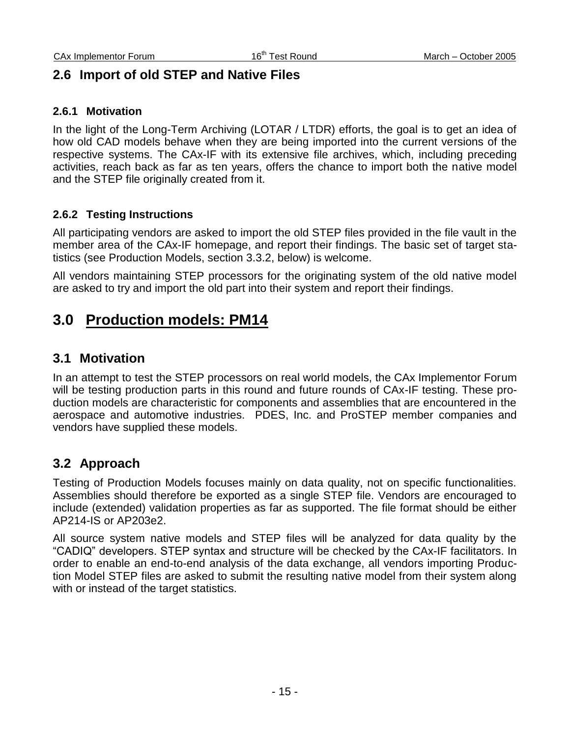### **2.6 Import of old STEP and Native Files**

#### **2.6.1 Motivation**

In the light of the Long-Term Archiving (LOTAR / LTDR) efforts, the goal is to get an idea of how old CAD models behave when they are being imported into the current versions of the respective systems. The CAx-IF with its extensive file archives, which, including preceding activities, reach back as far as ten years, offers the chance to import both the native model and the STEP file originally created from it.

#### **2.6.2 Testing Instructions**

All participating vendors are asked to import the old STEP files provided in the file vault in the member area of the CAx-IF homepage, and report their findings. The basic set of target statistics (see Production Models, section 3.3.2, below) is welcome.

All vendors maintaining STEP processors for the originating system of the old native model are asked to try and import the old part into their system and report their findings.

## **3.0 Production models: PM14**

### **3.1 Motivation**

In an attempt to test the STEP processors on real world models, the CAx Implementor Forum will be testing production parts in this round and future rounds of CAx-IF testing. These production models are characteristic for components and assemblies that are encountered in the aerospace and automotive industries. PDES, Inc. and ProSTEP member companies and vendors have supplied these models.

### **3.2 Approach**

Testing of Production Models focuses mainly on data quality, not on specific functionalities. Assemblies should therefore be exported as a single STEP file. Vendors are encouraged to include (extended) validation properties as far as supported. The file format should be either AP214-IS or AP203e2.

All source system native models and STEP files will be analyzed for data quality by the "CADIQ" developers. STEP syntax and structure will be checked by the CAx-IF facilitators. In order to enable an end-to-end analysis of the data exchange, all vendors importing Production Model STEP files are asked to submit the resulting native model from their system along with or instead of the target statistics.